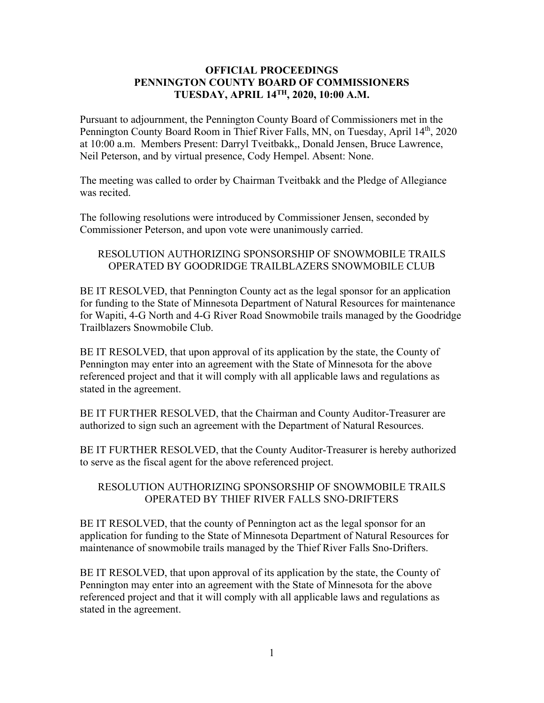## **OFFICIAL PROCEEDINGS PENNINGTON COUNTY BOARD OF COMMISSIONERS TUESDAY, APRIL 14TH, 2020, 10:00 A.M.**

Pursuant to adjournment, the Pennington County Board of Commissioners met in the Pennington County Board Room in Thief River Falls, MN, on Tuesday, April 14<sup>th</sup>, 2020 at 10:00 a.m. Members Present: Darryl Tveitbakk,, Donald Jensen, Bruce Lawrence, Neil Peterson, and by virtual presence, Cody Hempel. Absent: None.

The meeting was called to order by Chairman Tveitbakk and the Pledge of Allegiance was recited.

The following resolutions were introduced by Commissioner Jensen, seconded by Commissioner Peterson, and upon vote were unanimously carried.

## RESOLUTION AUTHORIZING SPONSORSHIP OF SNOWMOBILE TRAILS OPERATED BY GOODRIDGE TRAILBLAZERS SNOWMOBILE CLUB

BE IT RESOLVED, that Pennington County act as the legal sponsor for an application for funding to the State of Minnesota Department of Natural Resources for maintenance for Wapiti, 4-G North and 4-G River Road Snowmobile trails managed by the Goodridge Trailblazers Snowmobile Club.

BE IT RESOLVED, that upon approval of its application by the state, the County of Pennington may enter into an agreement with the State of Minnesota for the above referenced project and that it will comply with all applicable laws and regulations as stated in the agreement.

BE IT FURTHER RESOLVED, that the Chairman and County Auditor-Treasurer are authorized to sign such an agreement with the Department of Natural Resources.

BE IT FURTHER RESOLVED, that the County Auditor-Treasurer is hereby authorized to serve as the fiscal agent for the above referenced project.

## RESOLUTION AUTHORIZING SPONSORSHIP OF SNOWMOBILE TRAILS OPERATED BY THIEF RIVER FALLS SNO-DRIFTERS

BE IT RESOLVED, that the county of Pennington act as the legal sponsor for an application for funding to the State of Minnesota Department of Natural Resources for maintenance of snowmobile trails managed by the Thief River Falls Sno-Drifters.

BE IT RESOLVED, that upon approval of its application by the state, the County of Pennington may enter into an agreement with the State of Minnesota for the above referenced project and that it will comply with all applicable laws and regulations as stated in the agreement.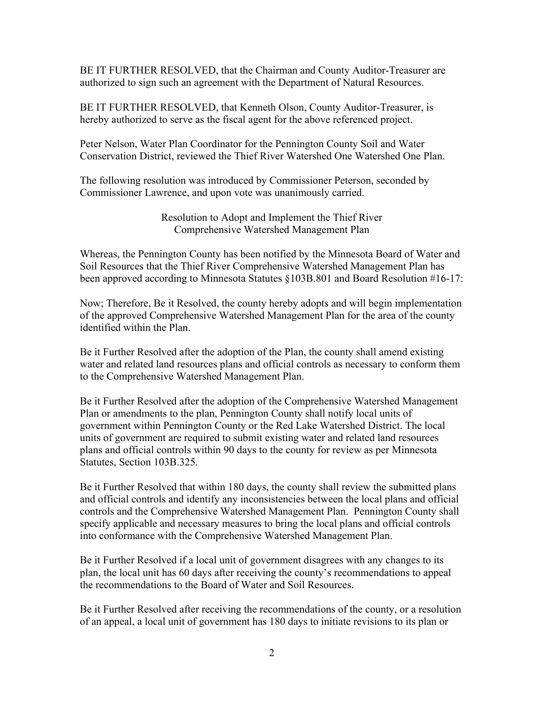BE IT FURTHER RESOLVED, that the Chairman and County Auditor-Treasurer are authorized to sign such an agreement with the Department of Natural Resources.

BE IT FURTHER RESOLVED, that Kenneth Olson, County Auditor-Treasurer, is hereby authorized to serve as the fiscal agent for the above referenced project.

Peter Nelson, Water Plan Coordinator for the Pennington County Soil and Water Conservation District, reviewed the Thief River Watershed One Watershed One Plan.

The following resolution was introduced by Commissioner Peterson, seconded by Commissioner Lawrence, and upon vote was unanimously carried.

> Resolution to Adopt and Implement the Thief River Comprehensive Watershed Management Plan

Whereas, the Pennington County has been notified by the Minnesota Board of Water and Soil Resources that the Thief River Comprehensive Watershed Management Plan has been approved according to Minnesota Statutes §103B.801 and Board Resolution #16-17:

Now; Therefore, Be it Resolved, the county hereby adopts and will begin implementation of the approved Comprehensive Watershed Management Plan for the area of the county identified within the Plan.

Be it Further Resolved after the adoption of the Plan, the county shall amend existing water and related land resources plans and official controls as necessary to conform them to the Comprehensive Watershed Management Plan.

Be it Further Resolved after the adoption of the Comprehensive Watershed Management Plan or amendments to the plan, Pennington County shall notify local units of government within Pennington County or the Red Lake Watershed District. The local units of government are required to submit existing water and related land resources plans and official controls within 90 days to the county for review as per Minnesota Statutes, Section 103B.325.

Be it Further Resolved that within 180 days, the county shall review the submitted plans and official controls and identify any inconsistencies between the local plans and official controls and the Comprehensive Watershed Management Plan. Pennington County shall specify applicable and necessary measures to bring the local plans and official controls into conformance with the Comprehensive Watershed Management Plan.

Be it Further Resolved if a local unit of government disagrees with any changes to its plan, the local unit has 60 days after receiving the county's recommendations to appeal the recommendations to the Board of Water and Soil Resources.

Be it Further Resolved after receiving the recommendations of the county, or a resolution of an appeal, a local unit of government has 180 days to initiate revisions to its plan or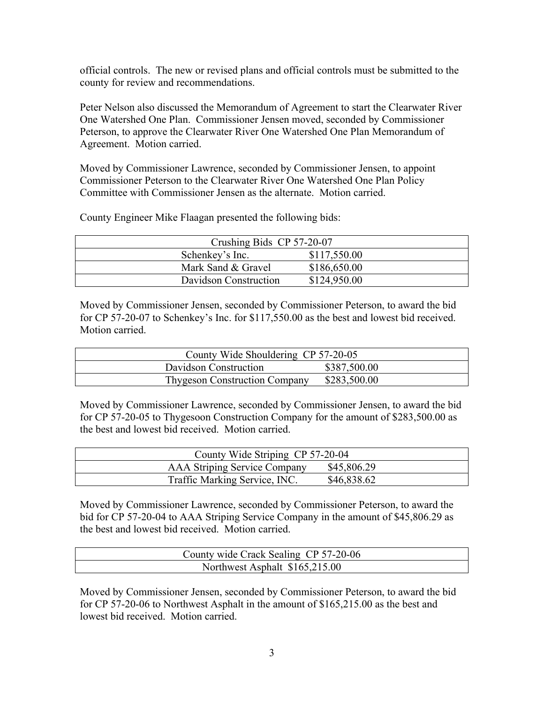official controls. The new or revised plans and official controls must be submitted to the county for review and recommendations.

Peter Nelson also discussed the Memorandum of Agreement to start the Clearwater River One Watershed One Plan. Commissioner Jensen moved, seconded by Commissioner Peterson, to approve the Clearwater River One Watershed One Plan Memorandum of Agreement. Motion carried.

Moved by Commissioner Lawrence, seconded by Commissioner Jensen, to appoint Commissioner Peterson to the Clearwater River One Watershed One Plan Policy Committee with Commissioner Jensen as the alternate. Motion carried.

County Engineer Mike Flaagan presented the following bids:

| Crushing Bids CP 57-20-07 |              |  |
|---------------------------|--------------|--|
| Schenkey's Inc.           | \$117,550.00 |  |
| Mark Sand & Gravel        | \$186,650.00 |  |
| Davidson Construction     | \$124,950.00 |  |

Moved by Commissioner Jensen, seconded by Commissioner Peterson, to award the bid for CP 57-20-07 to Schenkey's Inc. for \$117,550.00 as the best and lowest bid received. Motion carried.

| County Wide Shouldering CP 57-20-05  |              |
|--------------------------------------|--------------|
| Davidson Construction                | \$387,500.00 |
| <b>Thygeson Construction Company</b> | \$283,500.00 |

Moved by Commissioner Lawrence, seconded by Commissioner Jensen, to award the bid for CP 57-20-05 to Thygesoon Construction Company for the amount of \$283,500.00 as the best and lowest bid received. Motion carried.

| County Wide Striping CP 57-20-04    |             |
|-------------------------------------|-------------|
| <b>AAA Striping Service Company</b> | \$45,806.29 |
| Traffic Marking Service, INC.       | \$46,838.62 |

Moved by Commissioner Lawrence, seconded by Commissioner Peterson, to award the bid for CP 57-20-04 to AAA Striping Service Company in the amount of \$45,806.29 as the best and lowest bid received. Motion carried.

| County wide Crack Sealing CP 57-20-06 |  |
|---------------------------------------|--|
| Northwest Asphalt \$165,215.00        |  |

Moved by Commissioner Jensen, seconded by Commissioner Peterson, to award the bid for CP 57-20-06 to Northwest Asphalt in the amount of \$165,215.00 as the best and lowest bid received. Motion carried.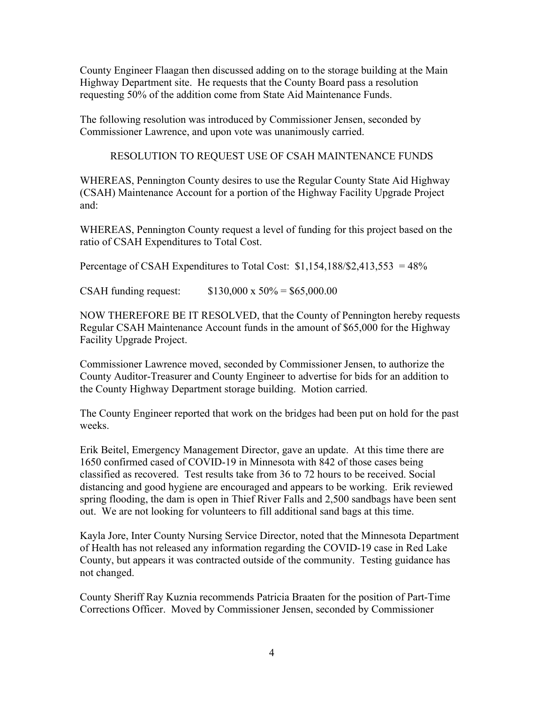County Engineer Flaagan then discussed adding on to the storage building at the Main Highway Department site. He requests that the County Board pass a resolution requesting 50% of the addition come from State Aid Maintenance Funds.

The following resolution was introduced by Commissioner Jensen, seconded by Commissioner Lawrence, and upon vote was unanimously carried.

RESOLUTION TO REQUEST USE OF CSAH MAINTENANCE FUNDS

WHEREAS, Pennington County desires to use the Regular County State Aid Highway (CSAH) Maintenance Account for a portion of the Highway Facility Upgrade Project and:

WHEREAS, Pennington County request a level of funding for this project based on the ratio of CSAH Expenditures to Total Cost.

Percentage of CSAH Expenditures to Total Cost:  $$1,154,188$ / $$2,413,553 = 48%$ 

CSAH funding request:  $$130,000 \times 50\% = $65,000.00$ 

NOW THEREFORE BE IT RESOLVED, that the County of Pennington hereby requests Regular CSAH Maintenance Account funds in the amount of \$65,000 for the Highway Facility Upgrade Project.

Commissioner Lawrence moved, seconded by Commissioner Jensen, to authorize the County Auditor-Treasurer and County Engineer to advertise for bids for an addition to the County Highway Department storage building. Motion carried.

The County Engineer reported that work on the bridges had been put on hold for the past weeks.

Erik Beitel, Emergency Management Director, gave an update. At this time there are 1650 confirmed cased of COVID-19 in Minnesota with 842 of those cases being classified as recovered. Test results take from 36 to 72 hours to be received. Social distancing and good hygiene are encouraged and appears to be working. Erik reviewed spring flooding, the dam is open in Thief River Falls and 2,500 sandbags have been sent out. We are not looking for volunteers to fill additional sand bags at this time.

Kayla Jore, Inter County Nursing Service Director, noted that the Minnesota Department of Health has not released any information regarding the COVID-19 case in Red Lake County, but appears it was contracted outside of the community. Testing guidance has not changed.

County Sheriff Ray Kuznia recommends Patricia Braaten for the position of Part-Time Corrections Officer. Moved by Commissioner Jensen, seconded by Commissioner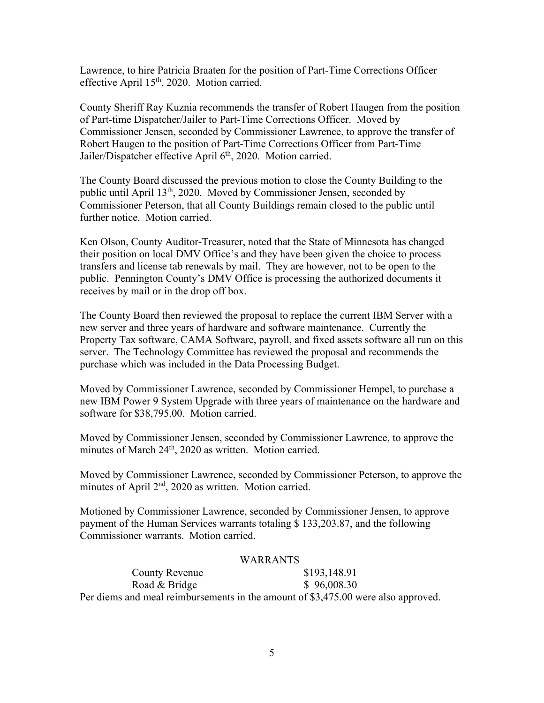Lawrence, to hire Patricia Braaten for the position of Part-Time Corrections Officer effective April 15<sup>th</sup>, 2020. Motion carried.

County Sheriff Ray Kuznia recommends the transfer of Robert Haugen from the position of Part-time Dispatcher/Jailer to Part-Time Corrections Officer. Moved by Commissioner Jensen, seconded by Commissioner Lawrence, to approve the transfer of Robert Haugen to the position of Part-Time Corrections Officer from Part-Time Jailer/Dispatcher effective April 6<sup>th</sup>, 2020. Motion carried.

The County Board discussed the previous motion to close the County Building to the public until April  $13<sup>th</sup>$ , 2020. Moved by Commissioner Jensen, seconded by Commissioner Peterson, that all County Buildings remain closed to the public until further notice. Motion carried.

Ken Olson, County Auditor-Treasurer, noted that the State of Minnesota has changed their position on local DMV Office's and they have been given the choice to process transfers and license tab renewals by mail. They are however, not to be open to the public. Pennington County's DMV Office is processing the authorized documents it receives by mail or in the drop off box.

The County Board then reviewed the proposal to replace the current IBM Server with a new server and three years of hardware and software maintenance. Currently the Property Tax software, CAMA Software, payroll, and fixed assets software all run on this server. The Technology Committee has reviewed the proposal and recommends the purchase which was included in the Data Processing Budget.

Moved by Commissioner Lawrence, seconded by Commissioner Hempel, to purchase a new IBM Power 9 System Upgrade with three years of maintenance on the hardware and software for \$38,795.00. Motion carried.

Moved by Commissioner Jensen, seconded by Commissioner Lawrence, to approve the minutes of March 24<sup>th</sup>, 2020 as written. Motion carried.

Moved by Commissioner Lawrence, seconded by Commissioner Peterson, to approve the minutes of April 2<sup>nd</sup>, 2020 as written. Motion carried.

Motioned by Commissioner Lawrence, seconded by Commissioner Jensen, to approve payment of the Human Services warrants totaling \$ 133,203.87, and the following Commissioner warrants. Motion carried.

## WARRANTS

County Revenue  $$193,148.91$ Road & Bridge \$ 96,008.30 Per diems and meal reimbursements in the amount of \$3,475.00 were also approved.